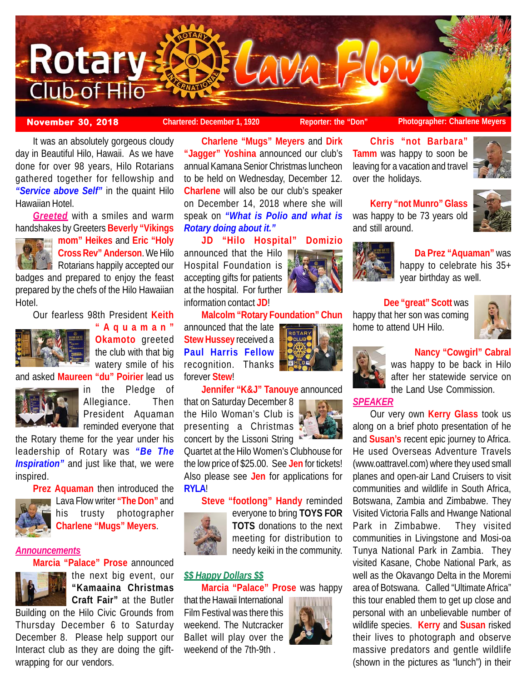

**November 30, 2018 Chartered: December 1, 1920 Reporter: the "Don" Photographer: Charlene Meyers**

**Chris "not Barbara" Tamm** was happy to soon be leaving for a vacation and travel

**Kerry "not Munro" Glass** was happy to be 73 years old

over the holidays.

and still around.

It was an absolutely gorgeous cloudy day in Beautiful Hilo, Hawaii. As we have done for over 98 years, Hilo Rotarians gathered together for fellowship and *"Service above Self"* in the quaint Hilo Hawaiian Hotel.

*Greeted* with a smiles and warm handshakes by Greeters **Beverly "Vikings**



**mom" Heikes** and **Eric "Holy Cross Rev" Anderson**. We Hilo **Rotarians happily accepted our** 

badges and prepared to enjoy the feast prepared by the chefs of the Hilo Hawaiian Hotel.

Our fearless 98th President **Keith**



**"Aquaman" Okamoto** greeted the club with that big watery smile of his and asked **Maureen "du" Poirier** lead us



in the Pledge of Allegiance. Then President Aquaman reminded everyone that

the Rotary theme for the year under his leadership of Rotary was *"Be The* **Inspiration**" and just like that, we were inspired.



Lava Flow writer **"The Don"** and his trusty photographer **Charlene "Mugs" Meyers**.

# *Announcements*



**Marcia "Palace" Prose** announced the next big event, our **"Kamaaina Christmas Craft Fair"** at the Butler

Building on the Hilo Civic Grounds from Thursday December 6 to Saturday December 8. Please help support our Interact club as they are doing the giftwrapping for our vendors.

**Charlene "Mugs" Meyers** and **Dirk "Jagger" Yoshina** announced our club's annual Kamana Senior Christmas luncheon to be held on Wednesday, December 12. **Charlene** will also be our club's speaker on December 14, 2018 where she will speak on *"What is Polio and what is Rotary doing about it."*

**JD "Hilo Hospital" Domizio** announced that the Hilo Hospital Foundation is accepting gifts for patients at the hospital. For further information contact **JD**!

**Malcolm "Rotary Foundation" Chun**

announced that the late **Stew Hussey** received a **Paul Harris Fellow** recognition. Thanks forever **Stew**!

**Jennifer "K&J" Tanouye** announced

that on Saturday December 8 the Hilo Woman's Club is presenting a Christmas concert by the Lissoni String

Quartet at the Hilo Women's Clubhouse for the low price of \$25.00. See **Jen** for tickets! Also please see **Jen** for applications for **RYLA**!

**Steve "footlong" Handy** reminded everyone to bring **TOYS FOR TOTS** donations to the next meeting for distribution to needy keiki in the community.

# *\$\$ Happy Dollars \$\$*

**Marcia "Palace" Prose** was happy

that the Hawaii International Film Festival was there this weekend. The Nutcracker Ballet will play over the weekend of the 7th-9th .





**Da Prez "Aquaman"** was happy to celebrate his 35+ year birthday as well.

# **Dee "great" Scott** was happy that her son was coming home to attend UH Hilo.





**Nancy "Cowgirl" Cabral**

was happy to be back in Hilo after her statewide service on the Land Use Commission.

# *SPEAKER*

Our very own **Kerry Glass** took us along on a brief photo presentation of he and **Susan's** recent epic journey to Africa. He used Overseas Adventure Travels (www.oattravel.com) where they used small planes and open-air Land Cruisers to visit communities and wildlife in South Africa, Botswana, Zambia and Zimbabwe. They Visited Victoria Falls and Hwange National Park in Zimbabwe. They visited communities in Livingstone and Mosi-oa Tunya National Park in Zambia. They visited Kasane, Chobe National Park, as well as the Okavango Delta in the Moremi area of Botswana. Called "Ultimate Africa" this tour enabled them to get up close and personal with an unbelievable number of wildlife species. **Kerry** and **Susan** risked their lives to photograph and observe massive predators and gentle wildlife (shown in the pictures as "lunch") in their